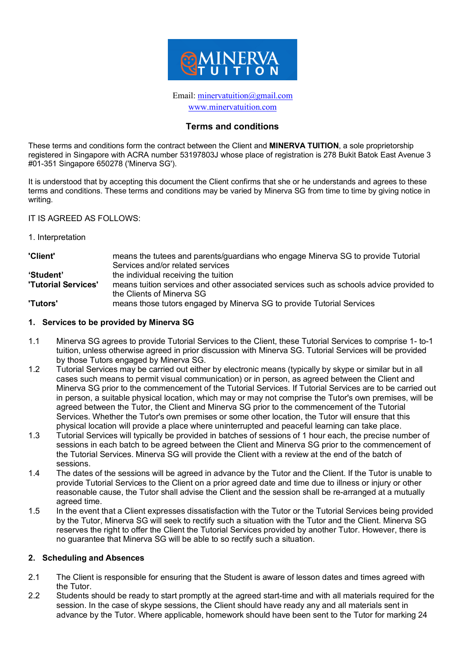

Email: minervatuition@gmail.com www.minervatuition.com

#### **Terms and conditions**

These terms and conditions form the contract between the Client and **MINERVA TUITION**, a sole proprietorship registered in Singapore with ACRA number 53197803J whose place of registration is 278 Bukit Batok East Avenue 3 #01-351 Singapore 650278 ('Minerva SG').

It is understood that by accepting this document the Client confirms that she or he understands and agrees to these terms and conditions. These terms and conditions may be varied by Minerva SG from time to time by giving notice in writing.

IT IS AGREED AS FOLLOWS:

1. Interpretation

| 'Client'                   | means the tutees and parents/guardians who engage Minerva SG to provide Tutorial        |
|----------------------------|-----------------------------------------------------------------------------------------|
|                            | Services and/or related services                                                        |
| 'Student'                  | the individual receiving the tuition                                                    |
| <b>'Tutorial Services'</b> | means tuition services and other associated services such as schools advice provided to |
|                            | the Clients of Minerva SG                                                               |
| 'Tutors'                   | means those tutors engaged by Minerva SG to provide Tutorial Services                   |

#### **1. Services to be provided by Minerva SG**

- 1.1 Minerva SG agrees to provide Tutorial Services to the Client, these Tutorial Services to comprise 1- to-1 tuition, unless otherwise agreed in prior discussion with Minerva SG. Tutorial Services will be provided by those Tutors engaged by Minerva SG.
- 1.2 Tutorial Services may be carried out either by electronic means (typically by skype or similar but in all cases such means to permit visual communication) or in person, as agreed between the Client and Minerva SG prior to the commencement of the Tutorial Services. If Tutorial Services are to be carried out in person, a suitable physical location, which may or may not comprise the Tutor's own premises, will be agreed between the Tutor, the Client and Minerva SG prior to the commencement of the Tutorial Services. Whether the Tutor's own premises or some other location, the Tutor will ensure that this physical location will provide a place where uninterrupted and peaceful learning can take place.
- 1.3 Tutorial Services will typically be provided in batches of sessions of 1 hour each, the precise number of sessions in each batch to be agreed between the Client and Minerva SG prior to the commencement of the Tutorial Services. Minerva SG will provide the Client with a review at the end of the batch of sessions.
- 1.4 The dates of the sessions will be agreed in advance by the Tutor and the Client. If the Tutor is unable to provide Tutorial Services to the Client on a prior agreed date and time due to illness or injury or other reasonable cause, the Tutor shall advise the Client and the session shall be re-arranged at a mutually agreed time.
- 1.5 In the event that a Client expresses dissatisfaction with the Tutor or the Tutorial Services being provided by the Tutor, Minerva SG will seek to rectify such a situation with the Tutor and the Client. Minerva SG reserves the right to offer the Client the Tutorial Services provided by another Tutor. However, there is no guarantee that Minerva SG will be able to so rectify such a situation.

#### **2. Scheduling and Absences**

- 2.1 The Client is responsible for ensuring that the Student is aware of lesson dates and times agreed with the Tutor.
- 2.2 Students should be ready to start promptly at the agreed start-time and with all materials required for the session. In the case of skype sessions, the Client should have ready any and all materials sent in advance by the Tutor. Where applicable, homework should have been sent to the Tutor for marking 24